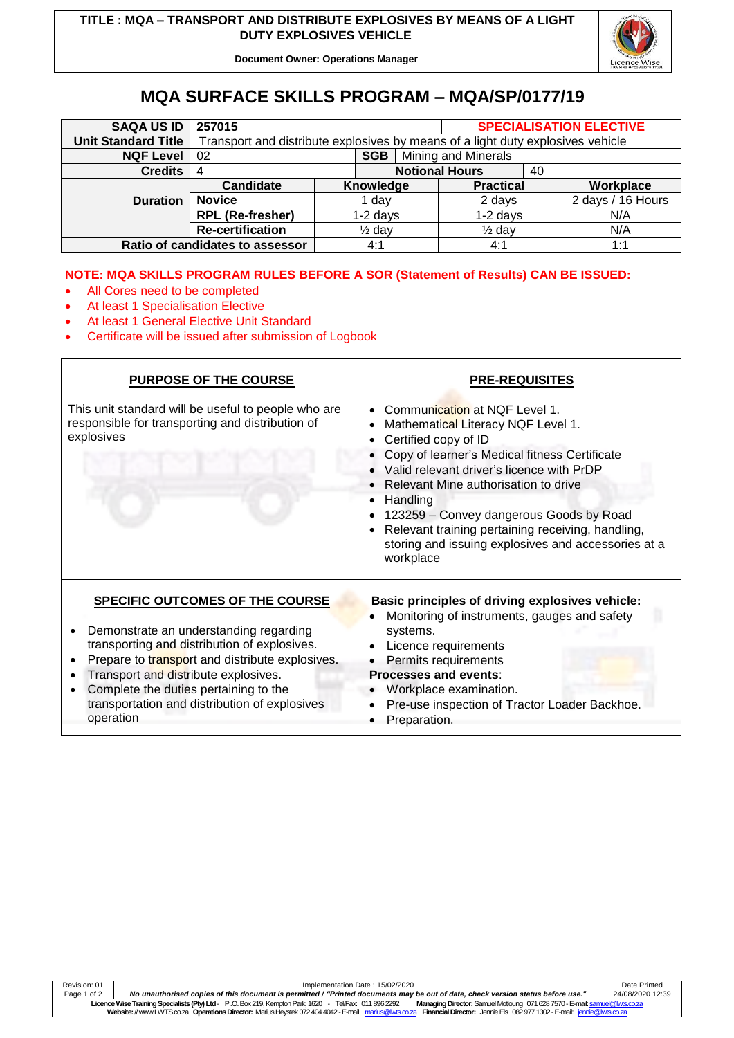

**Document Owner: Operations Manager**

# **MQA SURFACE SKILLS PROGRAM – MQA/SP/0177/19**

| <b>SAQA US ID</b>               | 257015                                                                          |            |                   |                       |                   |    | <b>SPECIALISATION ELECTIVE</b> |
|---------------------------------|---------------------------------------------------------------------------------|------------|-------------------|-----------------------|-------------------|----|--------------------------------|
| <b>Unit Standard Title</b>      | Transport and distribute explosives by means of a light duty explosives vehicle |            |                   |                       |                   |    |                                |
| <b>NQF Level</b>                | 02                                                                              |            | SGB               | Mining and Minerals   |                   |    |                                |
| <b>Credits</b>                  | 4                                                                               |            |                   | <b>Notional Hours</b> |                   | 40 |                                |
|                                 | Candidate                                                                       |            | Knowledge         |                       | <b>Practical</b>  |    | Workplace                      |
| <b>Duration</b>                 | <b>Novice</b>                                                                   | dav        |                   |                       | 2 days            |    | 2 days / 16 Hours              |
|                                 | <b>RPL (Re-fresher)</b>                                                         | $1-2$ days |                   |                       | $1-2$ days        |    | N/A                            |
|                                 | <b>Re-certification</b>                                                         |            | $\frac{1}{2}$ day |                       | $\frac{1}{2}$ day |    | N/A                            |
| Ratio of candidates to assessor |                                                                                 |            | 4:1               |                       | 4:1               |    | 1:1                            |

## **NOTE: MQA SKILLS PROGRAM RULES BEFORE A SOR (Statement of Results) CAN BE ISSUED:**

- All Cores need to be completed
- At least 1 Specialisation Elective
- At least 1 General Elective Unit Standard
- Certificate will be issued after submission of Logbook

| <b>PURPOSE OF THE COURSE</b>                                                                                                                                                                                                                                                                                                | PRE-REQUISITES                                                                                                                                                                                                                                                                                                                                                                                                                              |
|-----------------------------------------------------------------------------------------------------------------------------------------------------------------------------------------------------------------------------------------------------------------------------------------------------------------------------|---------------------------------------------------------------------------------------------------------------------------------------------------------------------------------------------------------------------------------------------------------------------------------------------------------------------------------------------------------------------------------------------------------------------------------------------|
| This unit standard will be useful to people who are<br>responsible for transporting and distribution of<br>explosives                                                                                                                                                                                                       | Communication at NQF Level 1.<br>Mathematical Literacy NQF Level 1.<br>Certified copy of ID<br>Copy of learner's Medical fitness Certificate<br>Valid relevant driver's licence with PrDP<br>Relevant Mine authorisation to drive<br>Handling<br>$\bullet$<br>123259 - Convey dangerous Goods by Road<br>Relevant training pertaining receiving, handling,<br>$\bullet$<br>storing and issuing explosives and accessories at a<br>workplace |
| SPECIFIC OUTCOMES OF THE COURSE<br>Demonstrate an understanding regarding<br>transporting and distribution of explosives.<br>Prepare to transport and distribute explosives.<br>Transport and distribute explosives.<br>Complete the duties pertaining to the<br>transportation and distribution of explosives<br>operation | Basic principles of driving explosives vehicle:<br>Monitoring of instruments, gauges and safety<br>systems.<br>Licence requirements<br>Permits requirements<br><b>Processes and events:</b><br>Workplace examination.<br>Pre-use inspection of Tractor Loader Backhoe.<br>Preparation.                                                                                                                                                      |